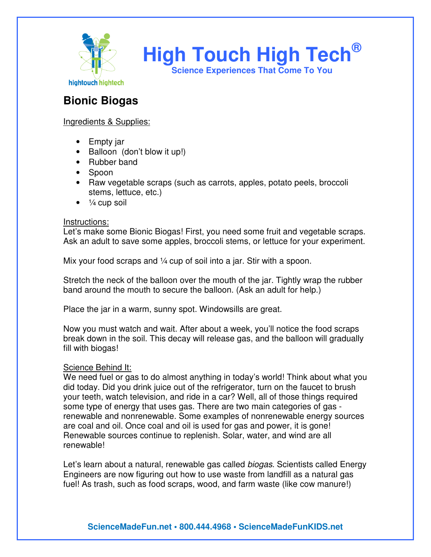

**High Touch High Tech® Science Experiences That Come To You** 

**Bionic Biogas** 

## Ingredients & Supplies:

- Empty jar
- Balloon (don't blow it up!)
- Rubber band
- Spoon
- Raw vegetable scraps (such as carrots, apples, potato peels, broccoli stems, lettuce, etc.)
- $\bullet$   $\frac{1}{4}$  cup soil

## Instructions:

Let's make some Bionic Biogas! First, you need some fruit and vegetable scraps. Ask an adult to save some apples, broccoli stems, or lettuce for your experiment.

Mix your food scraps and  $\frac{1}{4}$  cup of soil into a jar. Stir with a spoon.

Stretch the neck of the balloon over the mouth of the jar. Tightly wrap the rubber band around the mouth to secure the balloon. (Ask an adult for help.)

Place the jar in a warm, sunny spot. Windowsills are great.

Now you must watch and wait. After about a week, you'll notice the food scraps break down in the soil. This decay will release gas, and the balloon will gradually fill with biogas!

## Science Behind It:

We need fuel or gas to do almost anything in today's world! Think about what you did today. Did you drink juice out of the refrigerator, turn on the faucet to brush your teeth, watch television, and ride in a car? Well, all of those things required some type of energy that uses gas. There are two main categories of gas renewable and nonrenewable. Some examples of nonrenewable energy sources are coal and oil. Once coal and oil is used for gas and power, it is gone! Renewable sources continue to replenish. Solar, water, and wind are all renewable!

Let's learn about a natural, renewable gas called *biogas*. Scientists called Energy Engineers are now figuring out how to use waste from landfill as a natural gas fuel! As trash, such as food scraps, wood, and farm waste (like cow manure!)